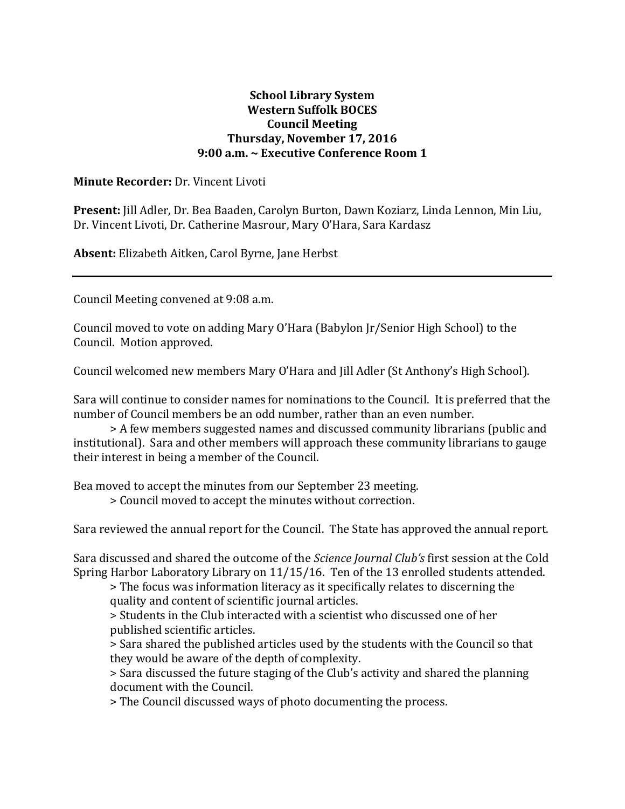## **School Library System Western Suffolk BOCES Council Meeting Thursday, November 17, 2016 9:00 a.m. ~ Executive Conference Room 1**

## **Minute Recorder:** Dr. Vincent Livoti

**Present:** Jill Adler, Dr. Bea Baaden, Carolyn Burton, Dawn Koziarz, Linda Lennon, Min Liu, Dr. Vincent Livoti, Dr. Catherine Masrour, Mary O'Hara, Sara Kardasz

**Absent:** Elizabeth Aitken, Carol Byrne, Jane Herbst

Council Meeting convened at 9:08 a.m.

Council moved to vote on adding Mary O'Hara (Babylon Jr/Senior High School) to the Council. Motion approved.

Council welcomed new members Mary O'Hara and Jill Adler (St Anthony's High School).

Sara will continue to consider names for nominations to the Council. It is preferred that the number of Council members be an odd number, rather than an even number.

> A few members suggested names and discussed community librarians (public and institutional). Sara and other members will approach these community librarians to gauge their interest in being a member of the Council.

Bea moved to accept the minutes from our September 23 meeting.

> Council moved to accept the minutes without correction.

Sara reviewed the annual report for the Council. The State has approved the annual report.

Sara discussed and shared the outcome of the *Science Journal Club's* first session at the Cold Spring Harbor Laboratory Library on 11/15/16. Ten of the 13 enrolled students attended.

> The focus was information literacy as it specifically relates to discerning the quality and content of scientific journal articles.

> Students in the Club interacted with a scientist who discussed one of her published scientific articles.

> Sara shared the published articles used by the students with the Council so that they would be aware of the depth of complexity.

> Sara discussed the future staging of the Club's activity and shared the planning document with the Council.

> The Council discussed ways of photo documenting the process.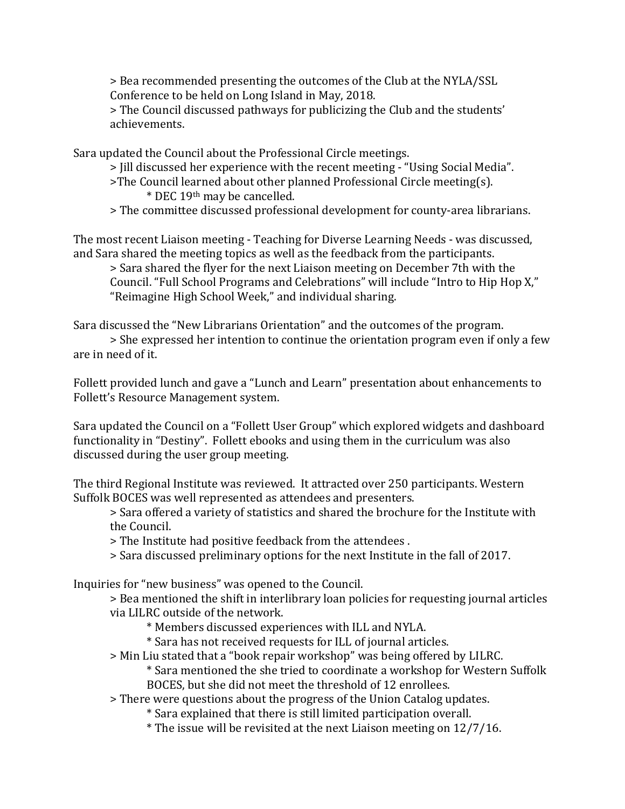> Bea recommended presenting the outcomes of the Club at the NYLA/SSL Conference to be held on Long Island in May, 2018.

> The Council discussed pathways for publicizing the Club and the students' achievements.

Sara updated the Council about the Professional Circle meetings.

> Jill discussed her experience with the recent meeting - "Using Social Media".

- >The Council learned about other planned Professional Circle meeting(s). \* DEC 19th may be cancelled.
- > The committee discussed professional development for county-area librarians.

The most recent Liaison meeting - Teaching for Diverse Learning Needs - was discussed, and Sara shared the meeting topics as well as the feedback from the participants.

> Sara shared the flyer for the next Liaison meeting on December 7th with the Council. "Full School Programs and Celebrations" will include "Intro to Hip Hop X," "Reimagine High School Week," and individual sharing.

Sara discussed the "New Librarians Orientation" and the outcomes of the program.

> She expressed her intention to continue the orientation program even if only a few are in need of it.

Follett provided lunch and gave a "Lunch and Learn" presentation about enhancements to Follett's Resource Management system.

Sara updated the Council on a "Follett User Group" which explored widgets and dashboard functionality in "Destiny". Follett ebooks and using them in the curriculum was also discussed during the user group meeting.

The third Regional Institute was reviewed. It attracted over 250 participants. Western Suffolk BOCES was well represented as attendees and presenters.

> Sara offered a variety of statistics and shared the brochure for the Institute with the Council.

> The Institute had positive feedback from the attendees .

> Sara discussed preliminary options for the next Institute in the fall of 2017.

Inquiries for "new business" was opened to the Council.

> Bea mentioned the shift in interlibrary loan policies for requesting journal articles via LILRC outside of the network.

- \* Members discussed experiences with ILL and NYLA.
- \* Sara has not received requests for ILL of journal articles.
- > Min Liu stated that a "book repair workshop" was being offered by LILRC.

\* Sara mentioned the she tried to coordinate a workshop for Western Suffolk BOCES, but she did not meet the threshold of 12 enrollees.

- > There were questions about the progress of the Union Catalog updates.
	- \* Sara explained that there is still limited participation overall.
	- \* The issue will be revisited at the next Liaison meeting on 12/7/16.